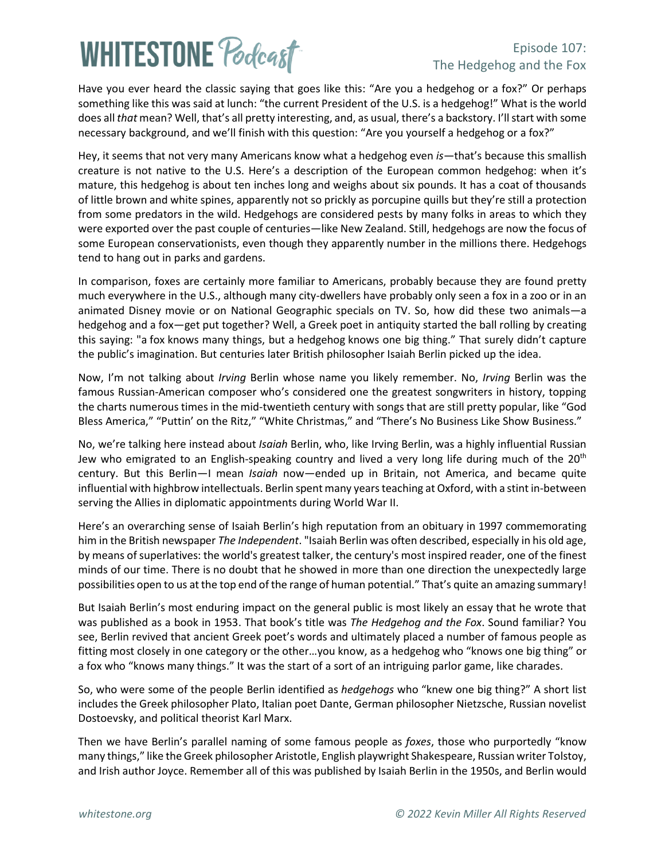# **WHITESTONE Poclast**

#### Episode 107: The Hedgehog and the Fox

Have you ever heard the classic saying that goes like this: "Are you a hedgehog or a fox?" Or perhaps something like this was said at lunch: "the current President of the U.S. is a hedgehog!" What is the world does all *that* mean? Well, that's all pretty interesting, and, as usual, there's a backstory. I'll start with some necessary background, and we'll finish with this question: "Are you yourself a hedgehog or a fox?"

Hey, it seems that not very many Americans know what a hedgehog even *is*—that's because this smallish creature is not native to the U.S. Here's a description of the European common hedgehog: when it's mature, this hedgehog is about ten inches long and weighs about six pounds. It has a coat of thousands of little brown and white spines, apparently not so prickly as porcupine quills but they're still a protection from some predators in the wild. Hedgehogs are considered pests by many folks in areas to which they were exported over the past couple of centuries—like New Zealand. Still, hedgehogs are now the focus of some European conservationists, even though they apparently number in the millions there. Hedgehogs tend to hang out in parks and gardens.

In comparison, foxes are certainly more familiar to Americans, probably because they are found pretty much everywhere in the U.S., although many city-dwellers have probably only seen a fox in a zoo or in an animated Disney movie or on National Geographic specials on TV. So, how did these two animals—a hedgehog and a fox—get put together? Well, a Greek poet in antiquity started the ball rolling by creating this saying: "a [fox](https://en.wikipedia.org/wiki/Fox) knows many things, but a [hedgehog](https://en.wikipedia.org/wiki/Hedgehog) knows one big thing." That surely didn't capture the public's imagination. But centuries later British philosopher Isaiah Berlin picked up the idea.

Now, I'm not talking about *Irving* Berlin whose name you likely remember. No, *Irving* Berlin was the famous Russian-American composer who's considered one the greatest songwriters in history, topping the charts numerous times in the mid-twentieth century with songs that are still pretty popular, like "God Bless America," "Puttin' on the Ritz," "White Christmas," and "There's No Business Like Show Business."

No, we're talking here instead about *Isaiah* Berlin, who, like Irving Berlin, was a highly influential Russian Jew who emigrated to an English-speaking country and lived a very long life during much of the  $20<sup>th</sup>$ century. But this Berlin—I mean *Isaiah* now—ended up in Britain, not America, and became quite influential with highbrow intellectuals. Berlin spent many years teaching at Oxford, with a stint in-between serving the Allies in diplomatic appointments during World War II.

Here's an overarching sense of Isaiah Berlin's high reputation from an obituary in 1997 commemorating him in the British newspaper *The Independent*. "Isaiah Berlin was often described, especially in his old age, by means of superlatives: the world's greatest talker, the century's most inspired reader, one of the finest minds of our time. There is no doubt that he showed in more than one direction the unexpectedly large possibilities open to us at the top end of the range of human potential." That's quite an amazing summary!

But Isaiah Berlin's most enduring impact on the general public is most likely an essay that he wrote that was published as a book in 1953. That book's title was *The Hedgehog and the Fox*. Sound familiar? You see, Berlin revived that ancient Greek poet's words and ultimately placed a number of famous people as fitting most closely in one category or the other…you know, as a hedgehog who "knows one big thing" or a fox who "knows many things." It was the start of a sort of an intriguing parlor game, like charades.

So, who were some of the people Berlin identified as *hedgehogs* who "knew one big thing?" A short list includes the Greek philosopher Plato, Italian poet Dante, German philosopher Nietzsche, Russian novelist Dostoevsky, and political theorist Karl Marx.

Then we have Berlin's parallel naming of some famous people as *foxes*, those who purportedly "know many things," like the Greek philosopher Aristotle, English playwright Shakespeare, Russian writer Tolstoy, and Irish author Joyce. Remember all of this was published by Isaiah Berlin in the 1950s, and Berlin would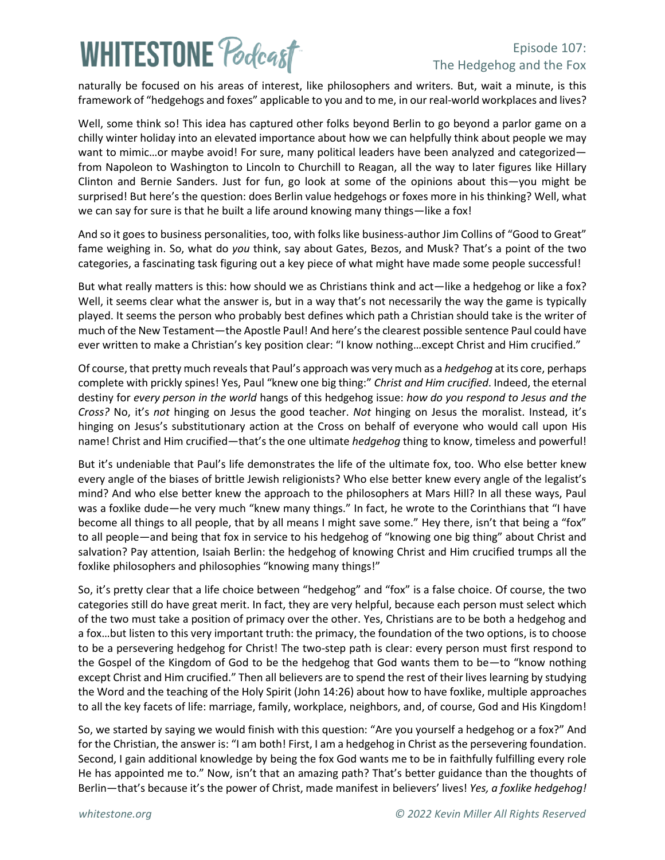## **WHITESTONE Podcast**

### Episode 107: The Hedgehog and the Fox

naturally be focused on his areas of interest, like philosophers and writers. But, wait a minute, is this framework of "hedgehogs and foxes" applicable to you and to me, in our real-world workplaces and lives?

Well, some think so! This idea has captured other folks beyond Berlin to go beyond a parlor game on a chilly winter holiday into an elevated importance about how we can helpfully think about people we may want to mimic...or maybe avoid! For sure, many political leaders have been analyzed and categorized from Napoleon to Washington to Lincoln to Churchill to Reagan, all the way to later figures like Hillary Clinton and Bernie Sanders. Just for fun, go look at some of the opinions about this—you might be surprised! But here's the question: does Berlin value hedgehogs or foxes more in his thinking? Well, what we can say for sure is that he built a life around knowing many things—like a fox!

And so it goes to business personalities, too, with folks like business-author Jim Collins of "Good to Great" fame weighing in. So, what do *you* think, say about Gates, Bezos, and Musk? That's a point of the two categories, a fascinating task figuring out a key piece of what might have made some people successful!

But what really matters is this: how should we as Christians think and act—like a hedgehog or like a fox? Well, it seems clear what the answer is, but in a way that's not necessarily the way the game is typically played. It seems the person who probably best defines which path a Christian should take is the writer of much of the New Testament—the Apostle Paul! And here's the clearest possible sentence Paul could have ever written to make a Christian's key position clear: "I know nothing…except Christ and Him crucified."

Of course, that pretty much revealsthat Paul's approach was very much as a *hedgehog* at its core, perhaps complete with prickly spines! Yes, Paul "knew one big thing:" *Christ and Him crucified*. Indeed, the eternal destiny for *every person in the world* hangs of this hedgehog issue: *how do you respond to Jesus and the Cross?* No, it's *not* hinging on Jesus the good teacher. *Not* hinging on Jesus the moralist. Instead, it's hinging on Jesus's substitutionary action at the Cross on behalf of everyone who would call upon His name! Christ and Him crucified—that's the one ultimate *hedgehog* thing to know, timeless and powerful!

But it's undeniable that Paul's life demonstrates the life of the ultimate fox, too. Who else better knew every angle of the biases of brittle Jewish religionists? Who else better knew every angle of the legalist's mind? And who else better knew the approach to the philosophers at Mars Hill? In all these ways, Paul was a foxlike dude—he very much "knew many things." In fact, he wrote to the Corinthians that "I have become all things to all people, that by all means I might save some." Hey there, isn't that being a "fox" to all people—and being that fox in service to his hedgehog of "knowing one big thing" about Christ and salvation? Pay attention, Isaiah Berlin: the hedgehog of knowing Christ and Him crucified trumps all the foxlike philosophers and philosophies "knowing many things!"

So, it's pretty clear that a life choice between "hedgehog" and "fox" is a false choice. Of course, the two categories still do have great merit. In fact, they are very helpful, because each person must select which of the two must take a position of primacy over the other. Yes, Christians are to be both a hedgehog and a fox…but listen to this very important truth: the primacy, the foundation of the two options, is to choose to be a persevering hedgehog for Christ! The two-step path is clear: every person must first respond to the Gospel of the Kingdom of God to be the hedgehog that God wants them to be—to "know nothing except Christ and Him crucified." Then all believers are to spend the rest of their lives learning by studying the Word and the teaching of the Holy Spirit (John 14:26) about how to have foxlike, multiple approaches to all the key facets of life: marriage, family, workplace, neighbors, and, of course, God and His Kingdom!

So, we started by saying we would finish with this question: "Are you yourself a hedgehog or a fox?" And for the Christian, the answer is: "I am both! First, I am a hedgehog in Christ as the persevering foundation. Second, I gain additional knowledge by being the fox God wants me to be in faithfully fulfilling every role He has appointed me to." Now, isn't that an amazing path? That's better guidance than the thoughts of Berlin—that's because it's the power of Christ, made manifest in believers' lives! *Yes, a foxlike hedgehog!*